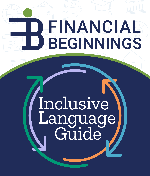# FINANCIAL **BEGINNINGS**

# Inclusive Language Guide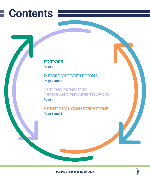# **Contents**

### **PURPOSE**

**Page 1**

**IMPORTANT DEFINITIONS Page 2 and 3**

**GUIDING PRINCIPLES TERMS AND PHRASES TO AVOID Page 4**

**ADDITIONAL CONSIDERATIONS Page 5 and 6**

**Inclusive Language Guide 2022**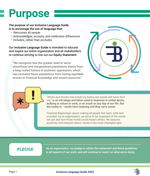# **Purpose**

**The purpose of our Inclusive Language Guide is to encourage the use of language that:**

- Welcomes all people
- Acknowledges, accepts, and celebrates differences
- Includes, rather than excludes

Our **Inclusive Language Guide** is intended to educate and inspire our entire organization and all stakeholders to continue striving to live out our **Equity Statement:**

"We recognize that the greater need to serve minoritized and marginalized populations stems from a long-rooted history of systemic oppression, which has excluded these populations from having equitable access to financial knowledge and sound resources."



"Sticks and stones may break my bones, but words will never hurt me," **is an old adage and idiom used in response to verbal abuse, bullying in school or work, or an insult on any day of our life. But the reality is − words have meaning and they carry power.**

Financial Beginnings values making all people feel seen, safe, and included. As an organization, we strive to be cognizant of the words we use and how those words could impact others. We assume positivity, and interpret others' words in the most charitable light.

**PLEDGE**

**As an organization, we pledge to utilize this statement and these guidelines in all aspects of our work, and will continue to report on what we're doing.**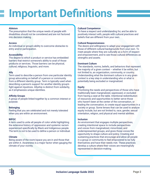# **Important Definitions**

#### **Ableism**

The presumption that the unique needs of people with disabilities should not be considered and are not factored into decision making.

#### **Access**

An individual or group's ability to overcome obstacles to entry and/or participation.

#### **Accessibility**

The degree to which a product or service has embedded barriers that restrict someone's ability to avail of those products or services. Those barriers can be physical, cultural, religious, linguistic, and more.

#### **Ally**

Term used to describe a person from one particular identity group advocating on behalf of a person or community from a different identity group. Term is typically used when describing a person's support for another identity group's fight against injustices. Allyship is distinct from solidarity, as it emphasizes unique identities.

#### **Affinity Groups**

A group of people linked together by a common interest or purpose.

#### **Belonging**

Feeling that you are celebrated and not merely tolerated when you are within an environment.

#### **BIPOC**

A term used to unite all people of color while highlighting the extensive history of oppression and systemic racism experienced specifically by Black and Indigenous people. The term is not to be used to define a person or individual.

#### **Climate**

Being aware of the room/space you are in and those that are within it. Awareness is a major factor when gauging the climate of your vicinity.

#### **Cultural Competence**

To have a respect and understanding for, and be able to positively interact with, people with cultural practices and beliefs that are different from your own.

#### **Cultural Responsiveness**

The desire and willingness to adapt your engagement with those of different cultural backgrounds from your own. To meet people where they are culturally as a form of respect and empowerment, and to see those cultural differences as strengths and assets.

#### **Dominant Culture**

The standards, norms, beliefs, and behaviors that represent the majority of a given context  $-$  whether it be within, but not limited to, an organization, community, or country. Understanding what the dominant culture is in any given context is a key step in understanding who or what is potentially being excluded or marginalized.

#### **Equity**

Prioritizing the needs and perspectives of those who have traditionally been marginalized, oppressed, or excluded from having a seat at the table. Intentional redistribution of resources and opportunities to better serve those who haven't been at the center of the conversation, or leading the conversation, to create equal opportunities in a society or group. Some lenses that can be used to analyze equity include, but are not limited to, race, gender, sexual orientation, religion, and physical and mental abilities.

#### **Inclusion**

An environment that engages multiple perspectives, creating intentional space to include perspectives and voices from marginalized, minoritized, and underrepresented groups, and gives those voices the opportunity to shape culture and policy. Creating and sustaining practices that encourage and allow all people in a group or community to feel empowered to be fully themselves and have their needs met. These practices develop a culture where their voices are meaningfully represented in decision-making.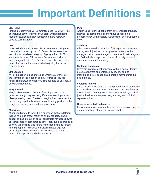# **Important Definitions**

#### **LGBTQIA+**

Financial Beginnings DEI Committee uses "LGBTQIA+" as an inclusive term for simplicity, except when describing research studies explicitly focused on more narrowlyspecific communities.

#### **LMI**

Low-to-Moderate Income or LMI is determined using the median income set by the U.S. Census Bureau every ten years for income level category of geographies. At FB, we primarily serve LMI students. For schools, LMI% is interchangeable with Free Reduced Lunch %, which is the percentage of students enrolled who qualify for free or reduced lunch.

#### **LMI Location**

At FB, a location is designated as LMI if 50% or more of the learners at the location qualify for free or reduced lunch. Therefore, all students will be counted as LMI at LMI designated locations.

#### **Marginalized**

Marginalized refers to the act of treating a person or group as though they are insignificant by isolating and/or disempowering them. The term marginalized describes the person or group that is treated insignificantly, pushed to the margins of society, and rendered powerless.

#### **Minoritized**

Minoritized refers to individuals or groups that are different in race, religious creed, nation of origin, sexuality, and/or gender and as a result of social constructs have less power or representation compared to other individuals or groups in society. Minoritizing also refers to individuals being forced into a group that is mistreated, discriminated against, or faces prejudices including but not limited to ableism, racism, homophobia, and Islamophobia.

#### **POC**

A term used to unite people from different backgrounds, sharing the commonalities they have all faced in a predominantly white society. Acronym for person/people of color.

#### **Solidarity**

A human-centered approach to fighting for social justice and against injustices that emphasizes the collective struggle, that an injustice against one is an injustice against all. Solidarity is an approach distinct from allyship, as it emphasizes shared humanity.

#### **Systemic Oppression**

Systemic mistreatment of people within a social identity group, supported and enforced by society and its institutions, solely based on a person's membership in a social group.

#### **Systemic Racism**

Systems and structures that have procedures or processes that disadvantage BIPOC communities. This manifests as discrimination in many areas, such as education, criminal justice, health care, employment, housing, and political representation.

#### **Underrepresented/Underserved**

Individuals and/or communities with a low socio-economic status, racial and ethnic minorities, or both.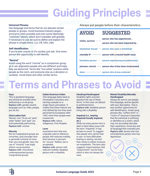# **Guiding Principles**

#### **Universal Phrases**

Use language and terms that do not alienate certain people or groups. Avoid business/industry jargon, acronyms when possible and even some seemingly "common" idioms, which don't translate well globally. If necessary to use, be sure to define and explain the phrase in simple terms. (i.e., FB, CRA, LMI)

#### **Self-Identification**

If you're ever unsure, or it's unclear, just ask. Give every person the opportunity to self-identify.

#### **"Normal"**

Avoid using the word "normal" as a comparison group as it can stigmatize people who are different and imply they are abnormal. Terms like "non-white" position white people as the norm, and everyone else as a deviation or variation. Avoid these and other similar terms.

**Always put people before their characteristics.**

## **mentally ill person with a mental health issue** prisoner, convict ---- person who is/has been incarcerated **slave person who is/was enslaved homeless person person experiencing houselessness wheelchair-bound person who uses a wheelchair victim, survivor person who has experienced... person who has been impacted by... AVOID SUGGESTED**

# **Terms and Phrases to Avoid**

#### **Guys**

This is gendered language, and should be avoided when addressing a co-ed group. Replace with: gender-neutral language such as: folks, people, you all, etc.

#### **Girls/Ladies/Gals**

Women over 18 are not "girls," while "ladies" and "gals" are both potentially patronizing. Replace with: women

#### **Minority**

Not all marginalized groups are minorities, and a broader term is generally inclusive of more than race and gender. Also, the use of "minority" may imply inferior social position. Replace with: minoritized, underrepresented groups, marginalized groups

#### **Indian/American Indian**

This language dates back to Christopher Columbus and naming a people on a Anglo-Saxon perception. It implies that these nations are only defined by how they were perceived by Europeans after 1492, when their people were massacred. Replace with: native, indigenous, First Peoples

#### **Lame**

Insensitive term that was originally used to reference people with reduced mobility, then became a synonym for "uncool." Neither use is acceptable. Replace with: person with reduced mobility, disabled, person with a disability

**Handicap/Handicapped** Disability rights activists question the use of these terms. In this case, we default to preferred terms. Replace with: disabled, person living with a disability

#### **Impaired (i.e., hearing impaired/visually impaired, etc.)**

While not every person who is deaf or blind takes issue with the term "impaired," it may be best to avoid. To suggest that people who cannot hear or see–or have difficulties hearing or seeing–are less than whole is neither inclusive nor empathetic. The term also suggests impermanence, that "impairments" can be fixed, which is also not always the case.

#### **Mental Disability/Mentally Handicapped**

Always be sure to use peoplefirst language, and be specific with your description. This is also another opportunity for self-identification. Avoid using phrases like, "suffers from" or "victim of" because it assumes that the individual is suffering or identifies as a victim, which may not accurately describe their experience. Avoid any and all language that connotes pity. Replace with: person who has schizophrenia, person who has depression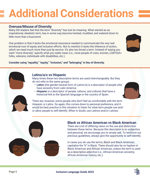# **Additional Considerations**

### **Overuse/Misuse of Diversity**

Many DEI leaders feel that the term "diversity" has lost its meaning. What started as an inspirational, idealistic term, has in some way become twisted, muddied, and watered down to little more than a buzzword.

One problem is that it lacks the emotional resonance needed to communicate the very real emotional root of equity and inclusion efforts. Not to mention it lacks the inference of action, which we need much more than just lip service. It's also too broad a term. Instead of saying you want "more diversity," specify what you really mean (i.e., more people of color, women, LGBTQIA+ folks, veterans, individuals with disabilities, etc.).



**Consider using "equality," "equity," "inclusion," and "belonging" in lieu of diversity.**

### **Latino/a/x vs Hispanic**

Many times these two descriptive terms are used interchangeably. But they do not refer to the same groups.

- **• Latinx** (the gender-neutral form of Latino/a) is a descriptor of people who have ancestry from Latin America.
- **• Hispanic** is a descriptor of people, nations, and cultures that have a historical link to the Spanish language or the country of Spain.



There are, however, some people who don't feel as comfortable with the term Hispanic or Latinx. So again, this comes down to personal preference, and it would be best practice in this situation to listen for what term people use and/ or allow people to self-identify. When in doubt, use Latinos and/or Latinas.



There are a lot of differing views on the use and distinction between these terms. Because this descriptor is so subjective and personal, we encourage you to simply ask. To reinforce our previous guidelines, always give the opportunity to self-identify.

In cases you do use the terms, Black and Black American, capitalize the "b" in Black. There should also be no hyphen in Black American and African American, unless the term is used as a descriptive adjective (i.e., African-American ancestry, African-American history, etc.).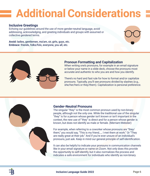# **Additional Considerations**

### **Inclusive Greetings**

Echoing our guidelines around the use of more gender-neutral language, avoid addressing, acknowledging, and greeting individuals and groups with assumed or collective gendered terms.

**Avoid:** ladies, gentlemen, ma'am, sir, girls, guys, etc. **Embrace:** friends, folks/folx, everyone, you all, etc.





### **Pronoun Formatting and Capitalization**

When writing one's pronouns, for example in an email signature or below your name in a slide deck, choose the pronouns most accurate and authentic to who you are and how you identify.

There's no hard and fast rule for how to format and/or capitalize pronouns. Typically, you'll see pronouns divided by slashes (e.g., she/her/hers or they/them). Capitalization is personal preference.



### **Gender-Neutral Pronouns**

The singular "they" is the most common pronoun used by non-binary people, although not the only one. While the traditional use of the singular "they" is for a person whose gender isn't known or isn't important in the context, the new use of "they" is direct and for a person whose gender is known, but does not identify as male or female. (Merriam-Webster)

For example, when referring to a coworker whose pronouns are "they/ them," you would say, "This is my friend, \_. I met them at work." Or "They are really great at their job." And if you're ever unsure of an individual's pronouns, just ask. Keep in mind our general principle of self-identification.

It can also be helpful to indicate your pronouns in communication channels like in your email signature or name on Zoom. Not only does this provide the opportunity to self-identify, but it also normalizes the process and indicates a safe environment for individuals who identify as non-binary.